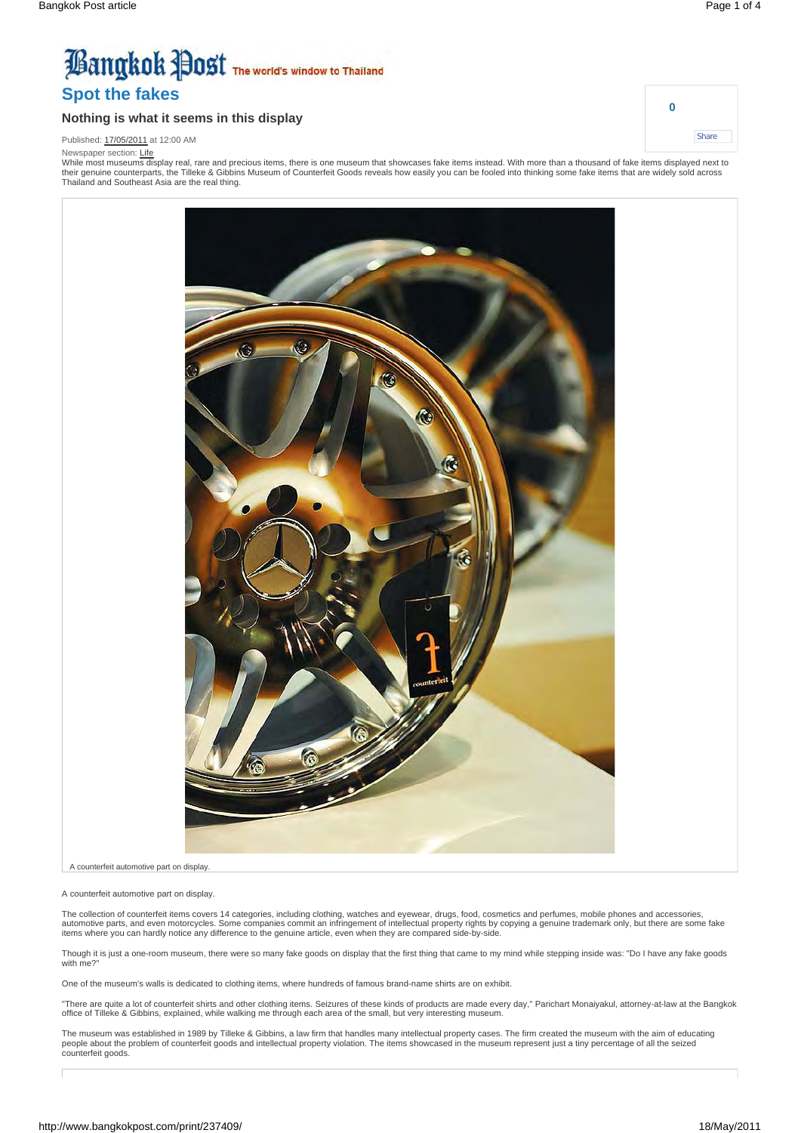**0**

**Share** 

# **Bangkok Post** The world's window to Thailand **Spot the fakes**

#### **Nothing is what it seems in this display**

Published: 17/05/2011 at 12:00 AM

Newspaper section: Life

While most museums display real, rare and precious items, there is one museum that showcases fake items instead. With more than a thousand of fake items displayed next to their genuine counterparts, the Tilleke & Gibbins Museum of Counterfeit Goods reveals how easily you can be fooled into thinking some fake items that are widely sold across Thailand and Southeast Asia are the real thing.

> Ō. r.

A counterfeit automotive part on display.

A counterfeit automotive part on display.

The collection of counterfeit items covers 14 categories, including clothing, watches and eyewear, drugs, food, cosmetics and perfumes, mobile phones and accessories, automotive parts, and even motorcycles. Some companies commit an infringement of intellectual property rights by copying a genuine trademark only, but there are some fake<br>items where you can hardly notice any difference to

Though it is just a one-room museum, there were so many fake goods on display that the first thing that came to my mind while stepping inside was: "Do I have any fake goods with me?"

One of the museum's walls is dedicated to clothing items, where hundreds of famous brand-name shirts are on exhibit.

"There are quite a lot of counterfeit shirts and other clothing items. Seizures of these kinds of products are made every day," Parichart Monaiyakul, attorney-at-law at the Bangkok office of Tilleke & Gibbins, explained, while walking me through each area of the small, but very interesting museum.

The museum was established in 1989 by Tilleke & Gibbins, a law firm that handles many intellectual property cases. The firm created the museum with the aim of educating<br>people about the problem of counterfeit goods and int counterfeit goods.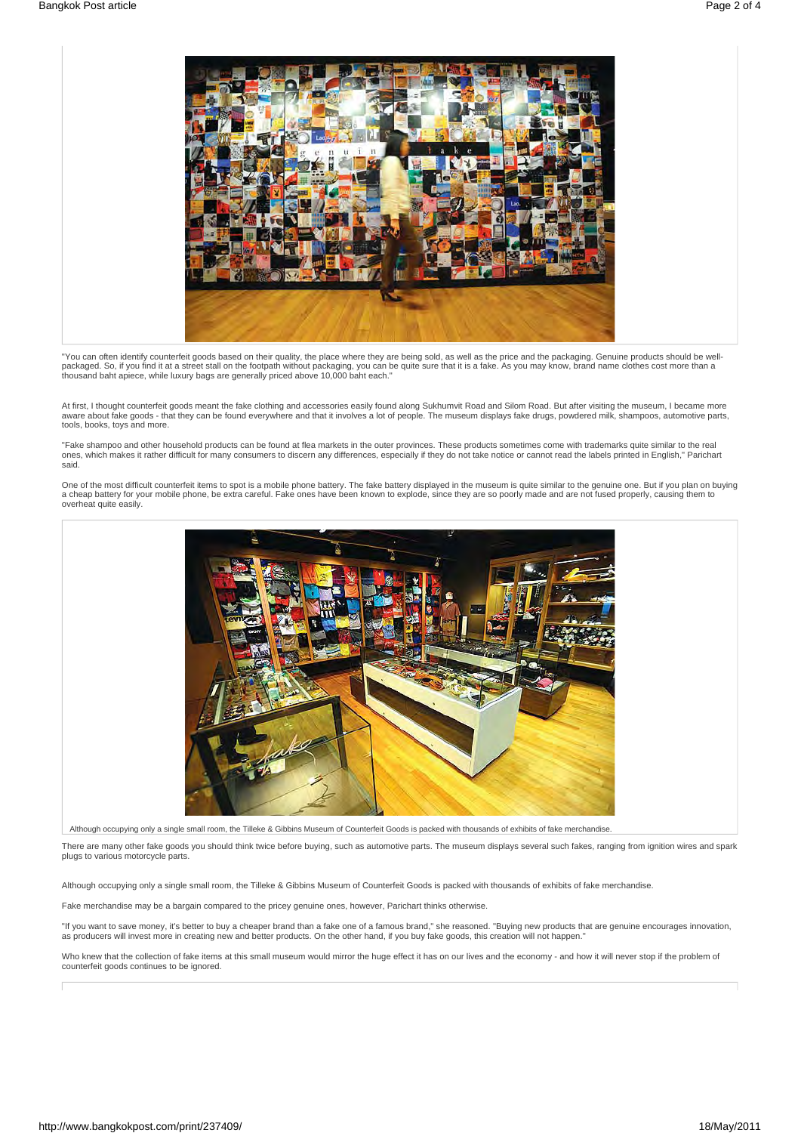

"You can often identify counterfeit goods based on their quality, the place where they are being sold, as well as the price and the packaging. Genuine products should be well-<br>packaged. So, if you find it at a street stall thousand baht apiece, while luxury bags are generally priced above 10,000 baht each."

At first, I thought counterfeit goods meant the fake clothing and accessories easily found along Sukhumvit Road and Silom Road. But after visiting the museum, I became more aware about fake goods - that they can be found everywhere and that it involves a lot of people. The museum displays fake drugs, powdered milk, shampoos, automotive parts, tools, books, toys and more.

"Fake shampoo and other household products can be found at flea markets in the outer provinces. These products sometimes come with trademarks quite similar to the real ones, which makes it rather difficult for many consumers to discern any differences, especially if they do not take notice or cannot read the labels printed in English," Parichart said.

One of the most difficult counterfeit items to spot is a mobile phone battery. The fake battery displayed in the museum is quite similar to the genuine one. But if you plan on buying<br>a cheap battery for your mobile phone, overheat quite easily



Although occupying only a single small room, the Tilleke & Gibbins Museum of Counterfeit Goods is packed with thousands of exhibits of fake merchandise.

There are many other fake goods you should think twice before buying, such as automotive parts. The museum displays several such fakes, ranging from ignition wires and spark plugs to various motorcycle parts.

Although occupying only a single small room, the Tilleke & Gibbins Museum of Counterfeit Goods is packed with thousands of exhibits of fake merchandise.

Fake merchandise may be a bargain compared to the pricey genuine ones, however, Parichart thinks otherwise.

"If you want to save money, it's better to buy a cheaper brand than a fake one of a famous brand," she reasoned. "Buying new products that are genuine encourages innovation, as producers will invest more in creating new and better products. On the other hand, if you buy fake goods, this creation will not happen."

Who knew that the collection of fake items at this small museum would mirror the huge effect it has on our lives and the economy - and how it will never stop if the problem of counterfeit goods continues to be ignored.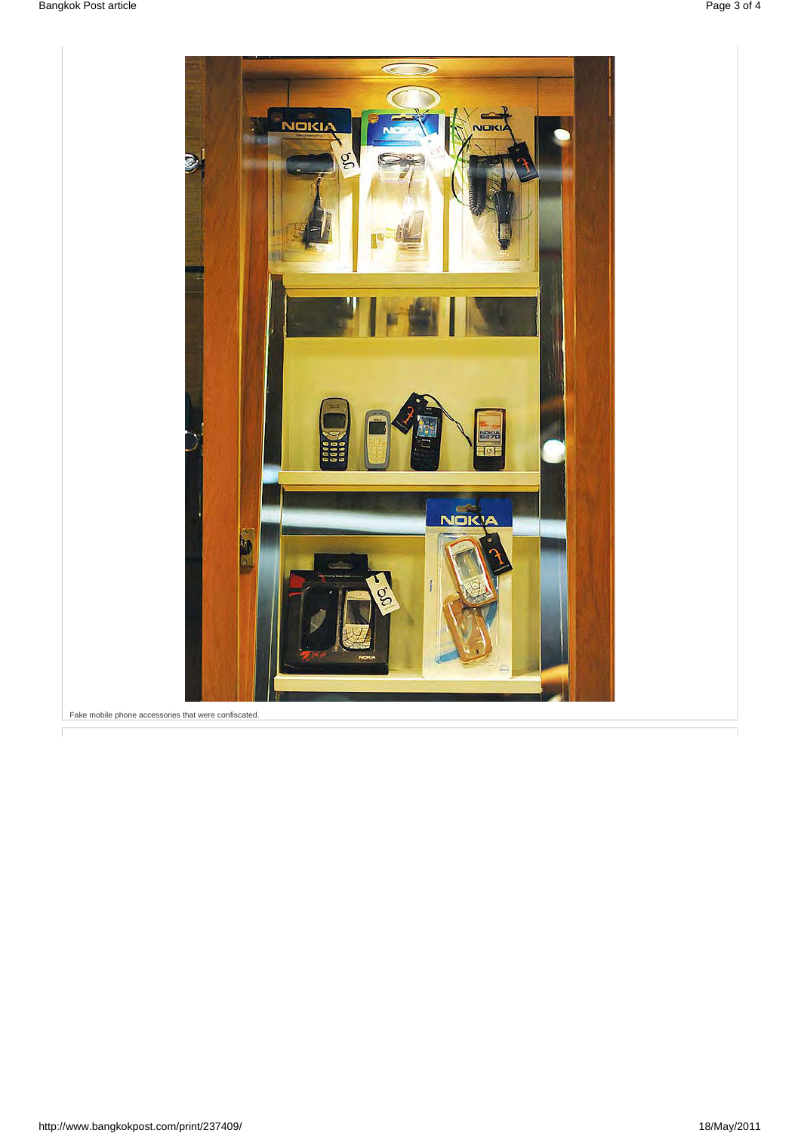

Fake mobile phone accessories that were confiscated.